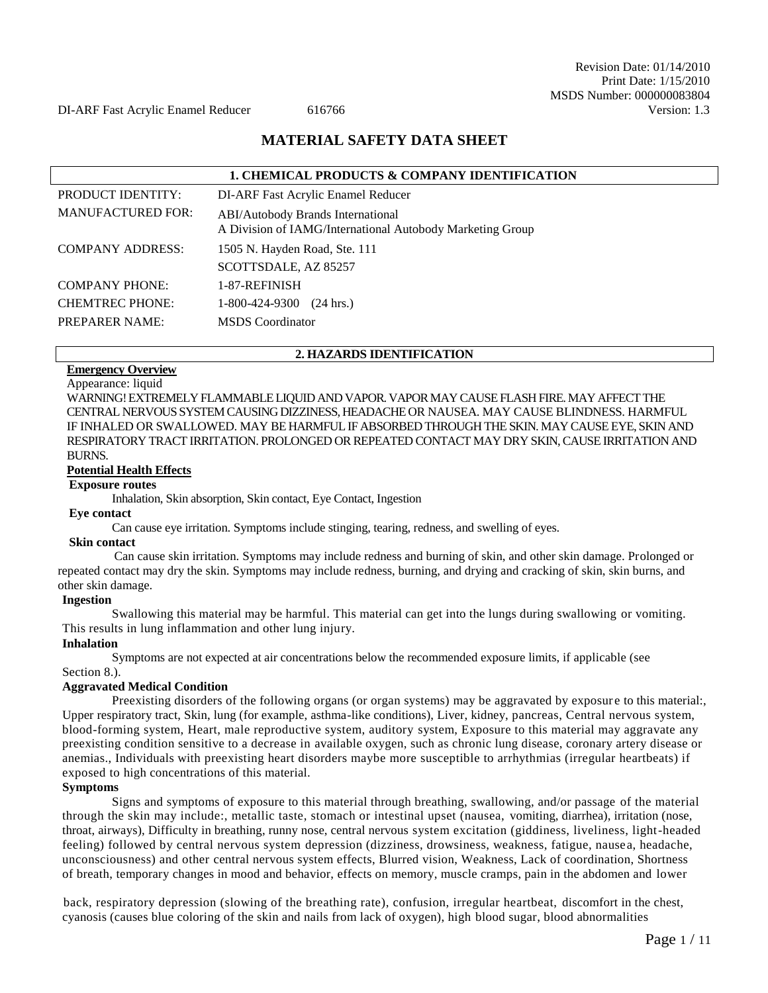## **MATERIAL SAFETY DATA SHEET**

| <b>1. CHEMICAL PRODUCTS &amp; COMPANY IDENTIFICATION</b> |                                                                                                |  |  |  |
|----------------------------------------------------------|------------------------------------------------------------------------------------------------|--|--|--|
| <b>PRODUCT IDENTITY:</b>                                 | DI-ARF Fast Acrylic Enamel Reducer                                                             |  |  |  |
| <b>MANUFACTURED FOR:</b>                                 | ABI/Autobody Brands International<br>A Division of IAMG/International Autobody Marketing Group |  |  |  |
| <b>COMPANY ADDRESS:</b>                                  | 1505 N. Hayden Road, Ste. 111                                                                  |  |  |  |
|                                                          | SCOTTSDALE, AZ 85257                                                                           |  |  |  |
| <b>COMPANY PHONE:</b>                                    | 1-87-REFINISH                                                                                  |  |  |  |
| <b>CHEMTREC PHONE:</b>                                   | 1-800-424-9300<br>$(24 \text{ hrs.})$                                                          |  |  |  |
| <b>PREPARER NAME:</b>                                    | <b>MSDS</b> Coordinator                                                                        |  |  |  |

## **2. HAZARDS IDENTIFICATION**

## **Emergency Overview**

Appearance: liquid

WARNING! EXTREMELY FLAMMABLE LIQUID AND VAPOR. VAPOR MAY CAUSE FLASH FIRE. MAY AFFECT THE CENTRAL NERVOUS SYSTEM CAUSING DIZZINESS, HEADACHE OR NAUSEA. MAY CAUSE BLINDNESS. HARMFUL IF INHALED OR SWALLOWED. MAY BE HARMFUL IF ABSORBED THROUGH THE SKIN. MAY CAUSE EYE, SKIN AND RESPIRATORY TRACT IRRITATION. PROLONGED OR REPEATED CONTACT MAY DRY SKIN, CAUSE IRRITATION AND BURNS.

### **Potential Health Effects**

### **Exposure routes**

Inhalation, Skin absorption, Skin contact, Eye Contact, Ingestion

#### **Eye contact**

Can cause eye irritation. Symptoms include stinging, tearing, redness, and swelling of eyes.

#### **Skin contact**

Can cause skin irritation. Symptoms may include redness and burning of skin, and other skin damage. Prolonged or repeated contact may dry the skin. Symptoms may include redness, burning, and drying and cracking of skin, skin burns, and other skin damage.

### **Ingestion**

Swallowing this material may be harmful. This material can get into the lungs during swallowing or vomiting. This results in lung inflammation and other lung injury.

## **Inhalation**

Symptoms are not expected at air concentrations below the recommended exposure limits, if applicable (see Section 8.).

## **Aggravated Medical Condition**

Preexisting disorders of the following organs (or organ systems) may be aggravated by exposure to this material:, Upper respiratory tract, Skin, lung (for example, asthma-like conditions), Liver, kidney, pancreas, Central nervous system, blood-forming system, Heart, male reproductive system, auditory system, Exposure to this material may aggravate any preexisting condition sensitive to a decrease in available oxygen, such as chronic lung disease, coronary artery disease or anemias., Individuals with preexisting heart disorders maybe more susceptible to arrhythmias (irregular heartbeats) if exposed to high concentrations of this material.

### **Symptoms**

Signs and symptoms of exposure to this material through breathing, swallowing, and/or passage of the material through the skin may include:, metallic taste, stomach or intestinal upset (nausea, vomiting, diarrhea), irritation (nose, throat, airways), Difficulty in breathing, runny nose, central nervous system excitation (giddiness, liveliness, light-headed feeling) followed by central nervous system depression (dizziness, drowsiness, weakness, fatigue, nausea, headache, unconsciousness) and other central nervous system effects, Blurred vision, Weakness, Lack of coordination, Shortness of breath, temporary changes in mood and behavior, effects on memory, muscle cramps, pain in the abdomen and lower

back, respiratory depression (slowing of the breathing rate), confusion, irregular heartbeat, discomfort in the chest, cyanosis (causes blue coloring of the skin and nails from lack of oxygen), high blood sugar, blood abnormalities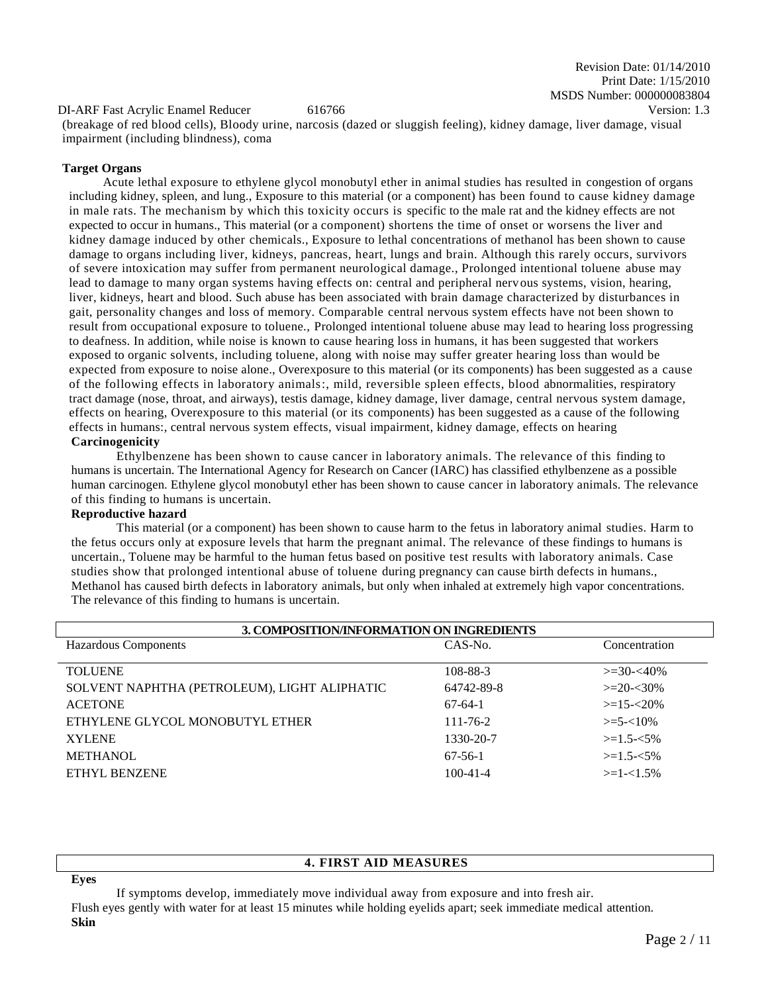DI-ARF Fast Acrylic Enamel Reducer 616766 Version: 1.3

(breakage of red blood cells), Bloody urine, narcosis (dazed or sluggish feeling), kidney damage, liver damage, visual impairment (including blindness), coma

## **Target Organs**

Acute lethal exposure to ethylene glycol monobutyl ether in animal studies has resulted in congestion of organs including kidney, spleen, and lung., Exposure to this material (or a component) has been found to cause kidney damage in male rats. The mechanism by which this toxicity occurs is specific to the male rat and the kidney effects are not expected to occur in humans., This material (or a component) shortens the time of onset or worsens the liver and kidney damage induced by other chemicals., Exposure to lethal concentrations of methanol has been shown to cause damage to organs including liver, kidneys, pancreas, heart, lungs and brain. Although this rarely occurs, survivors of severe intoxication may suffer from permanent neurological damage., Prolonged intentional toluene abuse may lead to damage to many organ systems having effects on: central and peripheral nervous systems, vision, hearing, liver, kidneys, heart and blood. Such abuse has been associated with brain damage characterized by disturbances in gait, personality changes and loss of memory. Comparable central nervous system effects have not been shown to result from occupational exposure to toluene., Prolonged intentional toluene abuse may lead to hearing loss progressing to deafness. In addition, while noise is known to cause hearing loss in humans, it has been suggested that workers exposed to organic solvents, including toluene, along with noise may suffer greater hearing loss than would be expected from exposure to noise alone., Overexposure to this material (or its components) has been suggested as a cause of the following effects in laboratory animals:, mild, reversible spleen effects, blood abnormalities, respiratory tract damage (nose, throat, and airways), testis damage, kidney damage, liver damage, central nervous system damage, effects on hearing, Overexposure to this material (or its components) has been suggested as a cause of the following effects in humans:, central nervous system effects, visual impairment, kidney damage, effects on hearing **Carcinogenicity**

Ethylbenzene has been shown to cause cancer in laboratory animals. The relevance of this finding to humans is uncertain. The International Agency for Research on Cancer (IARC) has classified ethylbenzene as a possible human carcinogen. Ethylene glycol monobutyl ether has been shown to cause cancer in laboratory animals. The relevance of this finding to humans is uncertain.

## **Reproductive hazard**

This material (or a component) has been shown to cause harm to the fetus in laboratory animal studies. Harm to the fetus occurs only at exposure levels that harm the pregnant animal. The relevance of these findings to humans is uncertain., Toluene may be harmful to the human fetus based on positive test results with laboratory animals. Case studies show that prolonged intentional abuse of toluene during pregnancy can cause birth defects in humans., Methanol has caused birth defects in laboratory animals, but only when inhaled at extremely high vapor concentrations. The relevance of this finding to humans is uncertain.

| 3. COMPOSITION/INFORMATION ON INGREDIENTS    |                |                  |  |  |
|----------------------------------------------|----------------|------------------|--|--|
| Hazardous Components                         | CAS-No.        | Concentration    |  |  |
|                                              |                |                  |  |  |
| <b>TOLUENE</b>                               | 108-88-3       | $\geq 30 - 40\%$ |  |  |
| SOLVENT NAPHTHA (PETROLEUM), LIGHT ALIPHATIC | 64742-89-8     | $>=20-30%$       |  |  |
| <b>ACETONE</b>                               | $67-64-1$      | $>=15 - 20%$     |  |  |
| ETHYLENE GLYCOL MONOBUTYL ETHER              | $111 - 76 - 2$ | $\geq 5 - 10\%$  |  |  |
| <b>XYLENE</b>                                | 1330-20-7      | $>=1.5 - 5\%$    |  |  |
| <b>METHANOL</b>                              | $67-56-1$      | $>=1.5 - 5\%$    |  |  |
| <b>ETHYL BENZENE</b>                         | $100 - 41 - 4$ | $>=1-1.5%$       |  |  |
|                                              |                |                  |  |  |

## **4. FIRST AID MEASURES**

**Eyes**

If symptoms develop, immediately move individual away from exposure and into fresh air. Flush eyes gently with water for at least 15 minutes while holding eyelids apart; seek immediate medical attention. **Skin**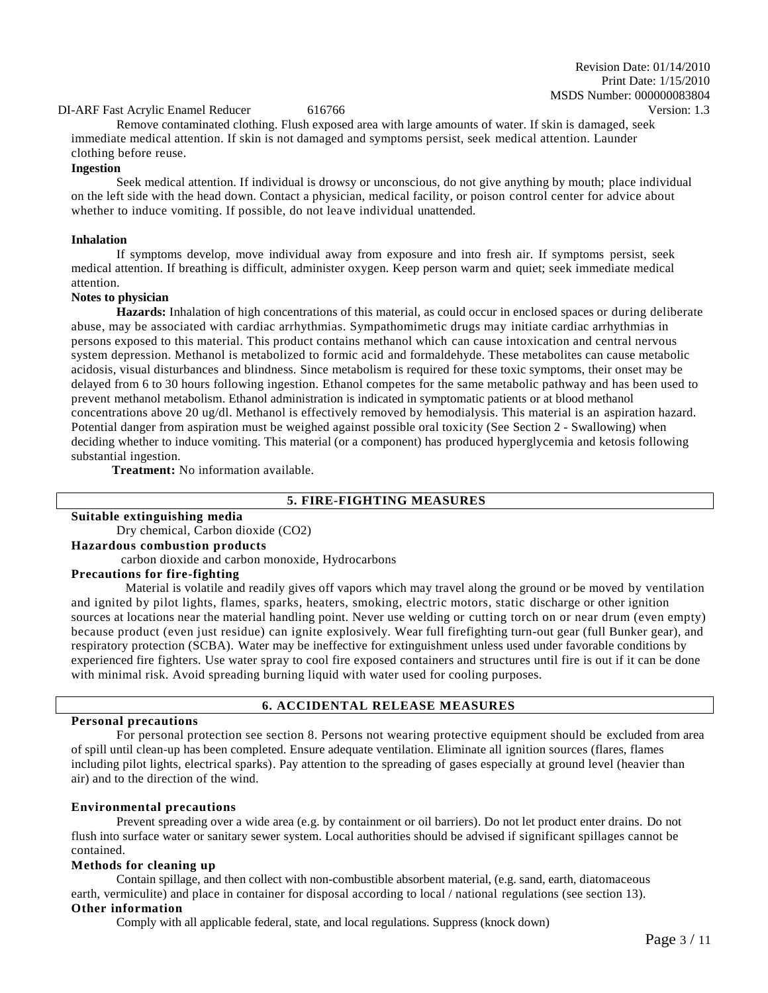## DI-ARF Fast Acrylic Enamel Reducer 616766 Version: 1.3

Remove contaminated clothing. Flush exposed area with large amounts of water. If skin is damaged, seek immediate medical attention. If skin is not damaged and symptoms persist, seek medical attention. Launder clothing before reuse.

#### **Ingestion**

Seek medical attention. If individual is drowsy or unconscious, do not give anything by mouth; place individual on the left side with the head down. Contact a physician, medical facility, or poison control center for advice about whether to induce vomiting. If possible, do not leave individual unattended.

#### **Inhalation**

If symptoms develop, move individual away from exposure and into fresh air. If symptoms persist, seek medical attention. If breathing is difficult, administer oxygen. Keep person warm and quiet; seek immediate medical attention.

#### **Notes to physician**

**Hazards:** Inhalation of high concentrations of this material, as could occur in enclosed spaces or during deliberate abuse, may be associated with cardiac arrhythmias. Sympathomimetic drugs may initiate cardiac arrhythmias in persons exposed to this material. This product contains methanol which can cause intoxication and central nervous system depression. Methanol is metabolized to formic acid and formaldehyde. These metabolites can cause metabolic acidosis, visual disturbances and blindness. Since metabolism is required for these toxic symptoms, their onset may be delayed from 6 to 30 hours following ingestion. Ethanol competes for the same metabolic pathway and has been used to prevent methanol metabolism. Ethanol administration is indicated in symptomatic patients or at blood methanol concentrations above 20 ug/dl. Methanol is effectively removed by hemodialysis. This material is an aspiration hazard. Potential danger from aspiration must be weighed against possible oral toxicity (See Section 2 - Swallowing) when deciding whether to induce vomiting. This material (or a component) has produced hyperglycemia and ketosis following substantial ingestion.

**Treatment:** No information available.

## **5. FIRE-FIGHTING MEASURES**

**Suitable extinguishing media** Dry chemical, Carbon dioxide (CO2) **Hazardous combustion products** carbon dioxide and carbon monoxide, Hydrocarbons

#### **Precautions for fire-fighting**

Material is volatile and readily gives off vapors which may travel along the ground or be moved by ventilation and ignited by pilot lights, flames, sparks, heaters, smoking, electric motors, static discharge or other ignition sources at locations near the material handling point. Never use welding or cutting torch on or near drum (even empty) because product (even just residue) can ignite explosively. Wear full firefighting turn-out gear (full Bunker gear), and respiratory protection (SCBA). Water may be ineffective for extinguishment unless used under favorable conditions by experienced fire fighters. Use water spray to cool fire exposed containers and structures until fire is out if it can be done with minimal risk. Avoid spreading burning liquid with water used for cooling purposes.

#### **Personal precautions**

## **6. ACCIDENTAL RELEASE MEASURES**

For personal protection see section 8. Persons not wearing protective equipment should be excluded from area of spill until clean-up has been completed. Ensure adequate ventilation. Eliminate all ignition sources (flares, flames including pilot lights, electrical sparks). Pay attention to the spreading of gases especially at ground level (heavier than air) and to the direction of the wind.

#### **Environmental precautions**

Prevent spreading over a wide area (e.g. by containment or oil barriers). Do not let product enter drains. Do not flush into surface water or sanitary sewer system. Local authorities should be advised if significant spillages cannot be contained.

#### **Methods for cleaning up**

Contain spillage, and then collect with non-combustible absorbent material, (e.g. sand, earth, diatomaceous earth, vermiculite) and place in container for disposal according to local / national regulations (see section 13). **Other information**

Comply with all applicable federal, state, and local regulations. Suppress (knock down)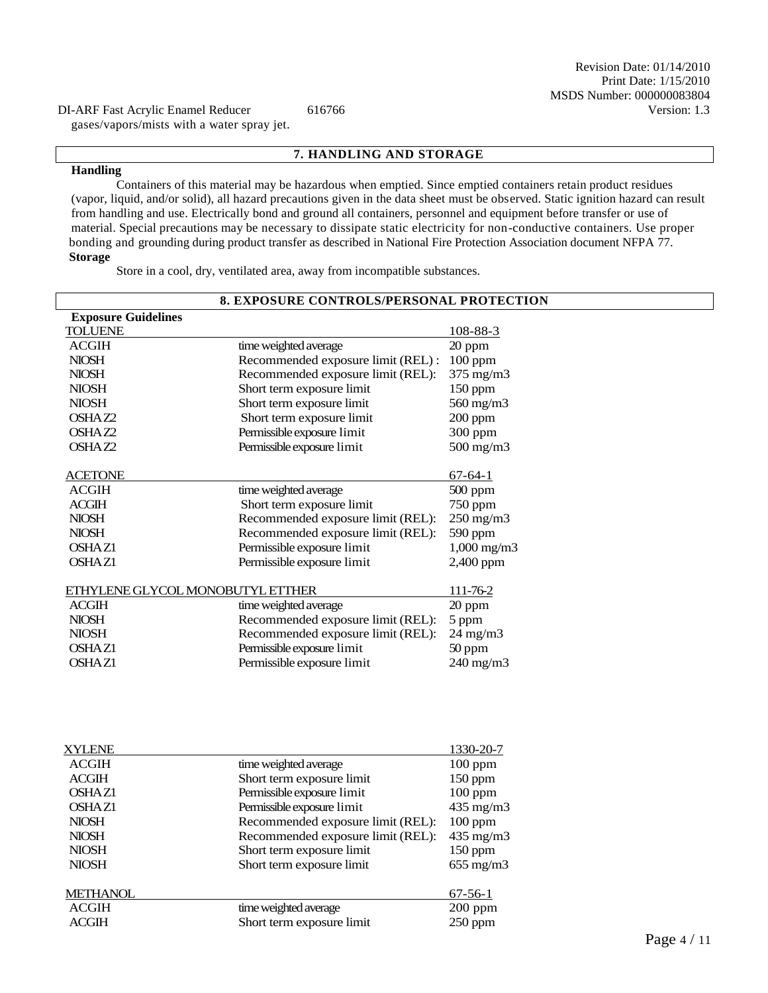gases/vapors/mists with a water spray jet.

## **7. HANDLING AND STORAGE**

#### **Handling**

Containers of this material may be hazardous when emptied. Since emptied containers retain product residues (vapor, liquid, and/or solid), all hazard precautions given in the data sheet must be observed. Static ignition hazard can result from handling and use. Electrically bond and ground all containers, personnel and equipment before transfer or use of material. Special precautions may be necessary to dissipate static electricity for non-conductive containers. Use proper bonding and grounding during product transfer as described in National Fire Protection Association document NFPA 77. **Storage**

Store in a cool, dry, ventilated area, away from incompatible substances.

| <b>8. EXPOSURE CONTROLS/PERSONAL PROTECTION</b> |                                   |                        |  |  |
|-------------------------------------------------|-----------------------------------|------------------------|--|--|
| <b>Exposure Guidelines</b>                      |                                   |                        |  |  |
| <b>TOLUENE</b>                                  |                                   | 108-88-3               |  |  |
| <b>ACGIH</b>                                    | time weighted average             | $20$ ppm               |  |  |
| <b>NIOSH</b>                                    | Recommended exposure limit (REL): | $100$ ppm              |  |  |
| <b>NIOSH</b>                                    | Recommended exposure limit (REL): | 375 mg/m3              |  |  |
| <b>NIOSH</b>                                    | Short term exposure limit         | $150$ ppm              |  |  |
| <b>NIOSH</b>                                    | Short term exposure limit         | 560 mg/m3              |  |  |
| OSHAZ2                                          | Short term exposure limit         | $200$ ppm              |  |  |
| OSHAZ2                                          | Permissible exposure limit        | 300 ppm                |  |  |
| OSHAZ2                                          | Permissible exposure limit        | 500 mg/m3              |  |  |
|                                                 |                                   |                        |  |  |
| <b>ACETONE</b>                                  |                                   | $67 - 64 - 1$          |  |  |
| <b>ACGIH</b>                                    | time weighted average             | $500$ ppm              |  |  |
| <b>ACGIH</b>                                    | Short term exposure limit         | 750 ppm                |  |  |
| <b>NIOSH</b>                                    | Recommended exposure limit (REL): | $250$ mg/m $3$         |  |  |
| <b>NIOSH</b>                                    | Recommended exposure limit (REL): | 590 ppm                |  |  |
| Permissible exposure limit<br><b>OSHAZ1</b>     |                                   | $1,000 \text{ mg/m}$ 3 |  |  |
| Permissible exposure limit<br><b>OSHAZ1</b>     |                                   | 2,400 ppm              |  |  |
|                                                 |                                   |                        |  |  |
| ETHYLENE GLYCOL MONOBUTYL ETTHER                |                                   | 111-76-2               |  |  |
| <b>ACGIH</b>                                    | time weighted average             | 20 ppm                 |  |  |
| <b>NIOSH</b>                                    | Recommended exposure limit (REL): | 5 ppm                  |  |  |
| <b>NIOSH</b>                                    | Recommended exposure limit (REL): | $24 \text{ mg/m}$      |  |  |
| <b>OSHAZ1</b>                                   | Permissible exposure limit        | 50 ppm                 |  |  |
| <b>OSHAZ1</b>                                   | Permissible exposure limit        | 240 mg/m3              |  |  |
|                                                 |                                   |                        |  |  |
|                                                 |                                   |                        |  |  |
|                                                 |                                   |                        |  |  |

| <b>XYLENE</b>      |                                   | 1330-20-7          |
|--------------------|-----------------------------------|--------------------|
| <b>ACGIH</b>       | time weighted average             | $100$ ppm          |
| <b>ACGIH</b>       | Short term exposure limit         | $150$ ppm          |
| OSHA <sub>Z1</sub> | Permissible exposure limit        | $100$ ppm          |
| OSHA <sub>Z1</sub> | Permissible exposure limit        | $435 \text{ mg/m}$ |
| <b>NIOSH</b>       | Recommended exposure limit (REL): | $100$ ppm          |
| <b>NIOSH</b>       | Recommended exposure limit (REL): | $435 \text{ mg/m}$ |
| <b>NIOSH</b>       | Short term exposure limit         | $150$ ppm          |
| <b>NIOSH</b>       | Short term exposure limit         | $655 \text{ mg/m}$ |
| <b>METHANOL</b>    |                                   | $67-56-1$          |
| <b>ACGIH</b>       | time weighted average             | $200$ ppm          |
| <b>ACGIH</b>       | Short term exposure limit         | $250$ ppm          |
|                    |                                   |                    |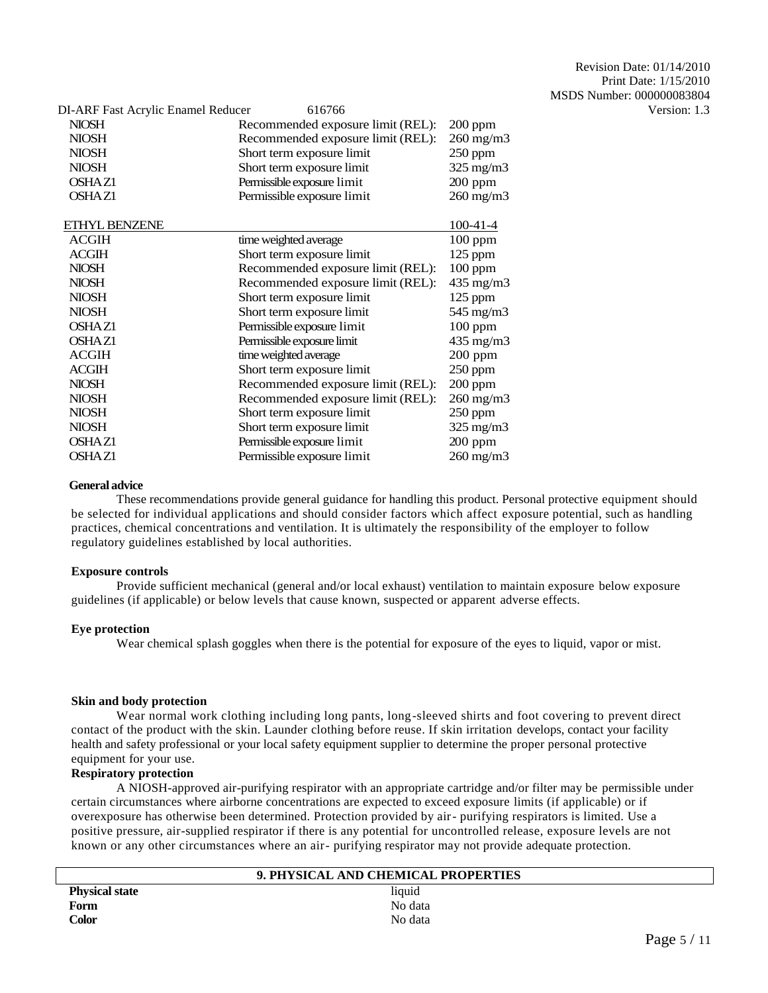| DI-ARF Fast Acrylic Enamel Reducer<br>616766 |                       | Version: 1.3 |
|----------------------------------------------|-----------------------|--------------|
| Recommended exposure limit (REL):            | $200$ ppm             |              |
| Recommended exposure limit (REL):            | $260$ mg/m $3$        |              |
| Short term exposure limit                    | $250$ ppm             |              |
| Short term exposure limit                    | $325 \text{ mg/m}$    |              |
| Permissible exposure limit                   | $200$ ppm             |              |
| Permissible exposure limit                   | $260$ mg/m $3$        |              |
|                                              | $100-41-4$            |              |
| time weighted average                        | $100$ ppm             |              |
| Short term exposure limit                    | $125$ ppm             |              |
| Recommended exposure limit (REL):            | $100$ ppm             |              |
| Recommended exposure limit (REL):            | 435 mg/m3             |              |
| Short term exposure limit                    | $125$ ppm             |              |
| Short term exposure limit                    | 545 mg/m3             |              |
| Permissible exposure limit                   | $100$ ppm             |              |
| Permissible exposure limit                   | 435 mg/m3             |              |
|                                              | $200$ ppm             |              |
| Short term exposure limit                    | $250$ ppm             |              |
| Recommended exposure limit (REL):            | $200$ ppm             |              |
| Recommended exposure limit (REL):            | $260$ mg/m $3$        |              |
| Short term exposure limit                    | 250 ppm               |              |
| Short term exposure limit                    | $325 \text{ mg/m}$    |              |
| Permissible exposure limit                   | $200$ ppm             |              |
| Permissible exposure limit                   | $260 \text{ mg/m}$    |              |
|                                              | time weighted average |              |

### **General advice**

These recommendations provide general guidance for handling this product. Personal protective equipment should be selected for individual applications and should consider factors which affect exposure potential, such as handling practices, chemical concentrations and ventilation. It is ultimately the responsibility of the employer to follow regulatory guidelines established by local authorities.

## **Exposure controls**

Provide sufficient mechanical (general and/or local exhaust) ventilation to maintain exposure below exposure guidelines (if applicable) or below levels that cause known, suspected or apparent adverse effects.

## **Eye protection**

Wear chemical splash goggles when there is the potential for exposure of the eyes to liquid, vapor or mist.

#### **Skin and body protection**

Wear normal work clothing including long pants, long-sleeved shirts and foot covering to prevent direct contact of the product with the skin. Launder clothing before reuse. If skin irritation develops, contact your facility health and safety professional or your local safety equipment supplier to determine the proper personal protective equipment for your use.

## **Respiratory protection**

A NIOSH-approved air-purifying respirator with an appropriate cartridge and/or filter may be permissible under certain circumstances where airborne concentrations are expected to exceed exposure limits (if applicable) or if overexposure has otherwise been determined. Protection provided by air- purifying respirators is limited. Use a positive pressure, air-supplied respirator if there is any potential for uncontrolled release, exposure levels are not known or any other circumstances where an air- purifying respirator may not provide adequate protection.

|                       | 9. PHYSICAL AND CHEMICAL PROPERTIES |  |
|-----------------------|-------------------------------------|--|
| <b>Physical state</b> | liquid                              |  |
| Form                  | No data                             |  |
| <b>Color</b>          | No data                             |  |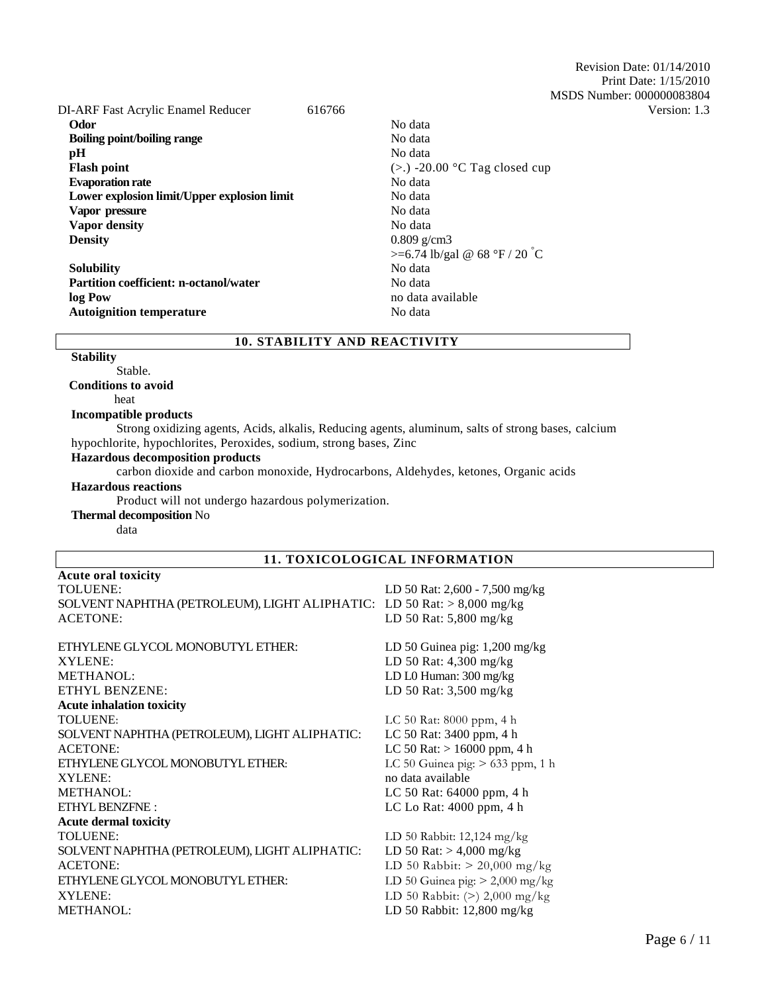Revision Date: 01/14/2010 Print Date: 1/15/2010 MSDS Number: 000000083804

| DI-ARF Fast Acrylic Enamel Reducer            | 616766 |                                  | Version: 1.3 |
|-----------------------------------------------|--------|----------------------------------|--------------|
| Odor                                          |        | No data                          |              |
| <b>Boiling point/boiling range</b>            |        | No data                          |              |
| pН                                            |        | No data                          |              |
| <b>Flash point</b>                            |        | $(>.)$ -20.00 °C Tag closed cup  |              |
| <b>Evaporation rate</b>                       |        | No data                          |              |
| Lower explosion limit/Upper explosion limit   |        | No data                          |              |
| Vapor pressure                                |        | No data                          |              |
| <b>Vapor density</b>                          |        | No data                          |              |
| <b>Density</b>                                |        | $0.809$ g/cm3                    |              |
|                                               |        | $>= 6.74$ lb/gal @ 68 °F / 20 °C |              |
| <b>Solubility</b>                             |        | No data                          |              |
| <b>Partition coefficient: n-octanol/water</b> |        | No data                          |              |
| log Pow                                       |        | no data available                |              |
| <b>Autoignition temperature</b>               |        | No data                          |              |
|                                               |        |                                  |              |

## **10. STABILITY AND REACTIVITY**

#### **Stability**

Stable. **Conditions to avoid**

heat

## **Incompatible products**

Strong oxidizing agents, Acids, alkalis, Reducing agents, aluminum, salts of strong bases, calcium hypochlorite, hypochlorites, Peroxides, sodium, strong bases, Zinc

### **Hazardous decomposition products**

carbon dioxide and carbon monoxide, Hydrocarbons, Aldehydes, ketones, Organic acids

#### **Hazardous reactions**

Product will not undergo hazardous polymerization.

#### **Thermal decomposition** No

data

## **11. TOXICOLOGICAL INFORMATION**

| Acute oral toxicity                                                    |                                    |
|------------------------------------------------------------------------|------------------------------------|
| <b>TOLUENE:</b>                                                        | LD 50 Rat: 2,600 - 7,500 mg/kg     |
| SOLVENT NAPHTHA (PETROLEUM), LIGHT ALIPHATIC: LD 50 Rat: > 8,000 mg/kg |                                    |
| <b>ACETONE:</b>                                                        | LD 50 Rat: 5,800 mg/kg             |
| ETHYLENE GLYCOL MONOBUTYL ETHER:                                       | LD 50 Guinea pig: $1,200$ mg/kg    |
| XYLENE:                                                                | LD 50 Rat: 4,300 mg/kg             |
| METHANOL:                                                              | LD L0 Human: 300 mg/kg             |
| <b>ETHYL BENZENE:</b>                                                  | LD 50 Rat: 3,500 mg/kg             |
| <b>Acute inhalation toxicity</b>                                       |                                    |
| <b>TOLUENE:</b>                                                        | LC 50 Rat: 8000 ppm, 4 h           |
| SOLVENT NAPHTHA (PETROLEUM), LIGHT ALIPHATIC:                          | LC 50 Rat: 3400 ppm, 4 h           |
| <b>ACETONE:</b>                                                        | LC 50 Rat: $> 16000$ ppm, 4 h      |
| ETHYLENE GLYCOL MONOBUTYL ETHER:                                       | LC 50 Guinea pig: $> 633$ ppm, 1 h |
| XYLENE:                                                                | no data available                  |
| METHANOL:                                                              | LC 50 Rat: 64000 ppm, 4 h          |
| ETHYL BENZFNE:                                                         | LC Lo Rat: $4000$ ppm, $4 h$       |
| <b>Acute dermal toxicity</b>                                           |                                    |
| <b>TOLUENE:</b>                                                        | LD 50 Rabbit: 12,124 mg/kg         |
| SOLVENT NAPHTHA (PETROLEUM), LIGHT ALIPHATIC:                          | LD 50 Rat: $> 4,000$ mg/kg         |
| <b>ACETONE:</b>                                                        | LD 50 Rabbit: $>$ 20,000 mg/kg     |
| ETHYLENE GLYCOL MONOBUTYL ETHER:                                       | LD 50 Guinea pig: $> 2,000$ mg/kg  |
| XYLENE:                                                                | LD 50 Rabbit: $(>)$ 2,000 mg/kg    |
| <b>METHANOL:</b>                                                       | LD 50 Rabbit: 12,800 mg/kg         |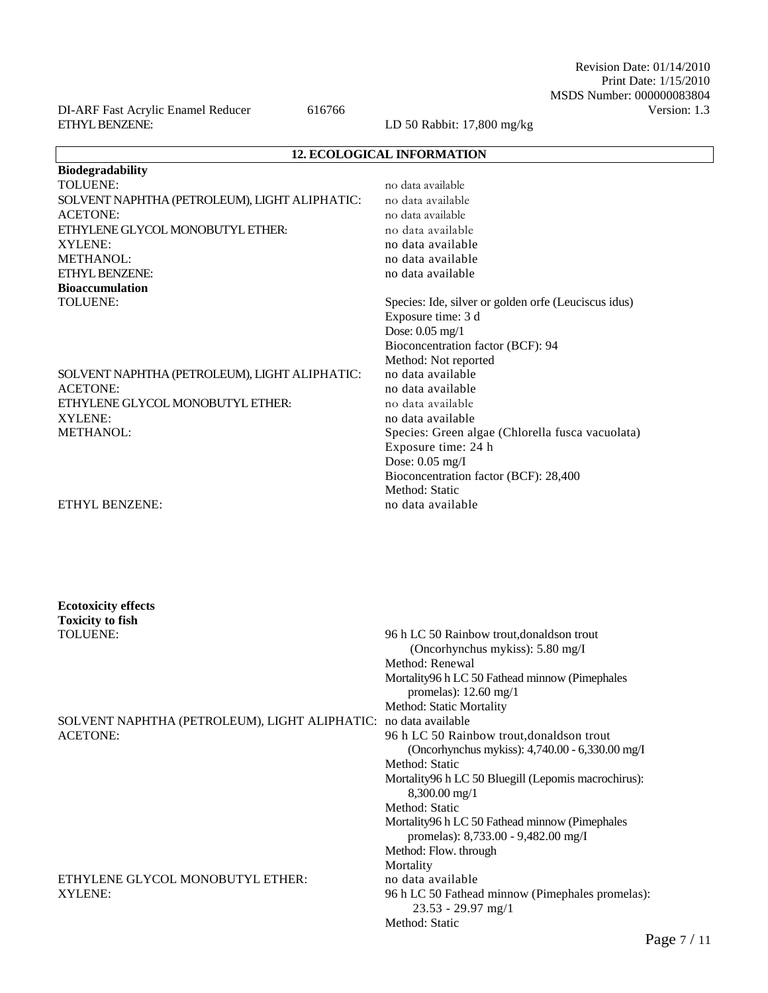Revision Date: 01/14/2010 Print Date: 1/15/2010 MSDS Number: 000000083804

DI-ARF Fast Acrylic Enamel Reducer 616766 Version: 1.3 ETHYL BENZENE: LD 50 Rabbit: 17,800 mg/kg

| <b>12. ECOLOGICAL INFORMATION</b>                                                                                                               |  |  |  |
|-------------------------------------------------------------------------------------------------------------------------------------------------|--|--|--|
| Biodegradability                                                                                                                                |  |  |  |
| TOLUENE:<br>no data available                                                                                                                   |  |  |  |
| SOLVENT NAPHTHA (PETROLEUM), LIGHT ALIPHATIC:<br>no data available                                                                              |  |  |  |
| <b>ACETONE:</b><br>no data available                                                                                                            |  |  |  |
| ETHYLENE GLYCOL MONOBUTYL ETHER:<br>no data available                                                                                           |  |  |  |
| XYLENE:<br>no data available                                                                                                                    |  |  |  |
| METHANOL:<br>no data available                                                                                                                  |  |  |  |
| ETHYL BENZENE:<br>no data available                                                                                                             |  |  |  |
| <b>Bioaccumulation</b>                                                                                                                          |  |  |  |
| TOLUENE:<br>Species: Ide, silver or golden orfe (Leuciscus idus)                                                                                |  |  |  |
| Exposure time: 3 d                                                                                                                              |  |  |  |
| Dose: $0.05$ mg/1                                                                                                                               |  |  |  |
| Bioconcentration factor (BCF): 94                                                                                                               |  |  |  |
| Method: Not reported                                                                                                                            |  |  |  |
| no data available<br>SOLVENT NAPHTHA (PETROLEUM), LIGHT ALIPHATIC:                                                                              |  |  |  |
| <b>ACETONE:</b><br>no data available                                                                                                            |  |  |  |
| ETHYLENE GLYCOL MONOBUTYL ETHER:<br>no data available                                                                                           |  |  |  |
| XYLENE:<br>no data available                                                                                                                    |  |  |  |
| <b>METHANOL:</b><br>Species: Green algae (Chlorella fusca vacuolata)                                                                            |  |  |  |
| Exposure time: 24 h                                                                                                                             |  |  |  |
| Dose: 0.05 mg/I                                                                                                                                 |  |  |  |
| Bioconcentration factor (BCF): 28,400                                                                                                           |  |  |  |
| Method: Static                                                                                                                                  |  |  |  |
| ETHYL BENZENE:<br>no data available                                                                                                             |  |  |  |
| <b>Ecotoxicity effects</b>                                                                                                                      |  |  |  |
| <b>Toxicity to fish</b><br><b>TOLUENE:</b><br>96 h LC 50 Rainbow trout, donalds on trout<br>(Oncorhynchus mykiss): 5.80 mg/I<br>Method: Renewal |  |  |  |
| Mortality96 h LC 50 Fathead minnow (Pimephales                                                                                                  |  |  |  |
| promelas): $12.60$ mg/1                                                                                                                         |  |  |  |
| Method: Static Mortality                                                                                                                        |  |  |  |
| SOLVENT NAPHTHA (PETROLEUM), LIGHT ALIPHATIC: no data available                                                                                 |  |  |  |
| 96 h LC 50 Rainbow trout, donaldson trout<br><b>ACETONE:</b>                                                                                    |  |  |  |
| (Oncorhynchus mykiss): 4,740.00 - 6,330.00 mg/I                                                                                                 |  |  |  |
| Method: Static                                                                                                                                  |  |  |  |
| Mortality96 h LC 50 Bluegill (Lepomis macrochirus):                                                                                             |  |  |  |
| 8,300.00 mg/1                                                                                                                                   |  |  |  |
| Method: Static                                                                                                                                  |  |  |  |
| Mortality96 h LC 50 Fathead minnow (Pimephales<br>promelas): 8,733.00 - 9,482.00 mg/I                                                           |  |  |  |
| Method: Flow. through                                                                                                                           |  |  |  |
| Mortality                                                                                                                                       |  |  |  |
| ETHYLENE GLYCOL MONOBUTYL ETHER:<br>no data available                                                                                           |  |  |  |
| XYLENE:<br>96 h LC 50 Fathead minnow (Pimephales promelas):<br>23.53 - 29.97 mg/1                                                               |  |  |  |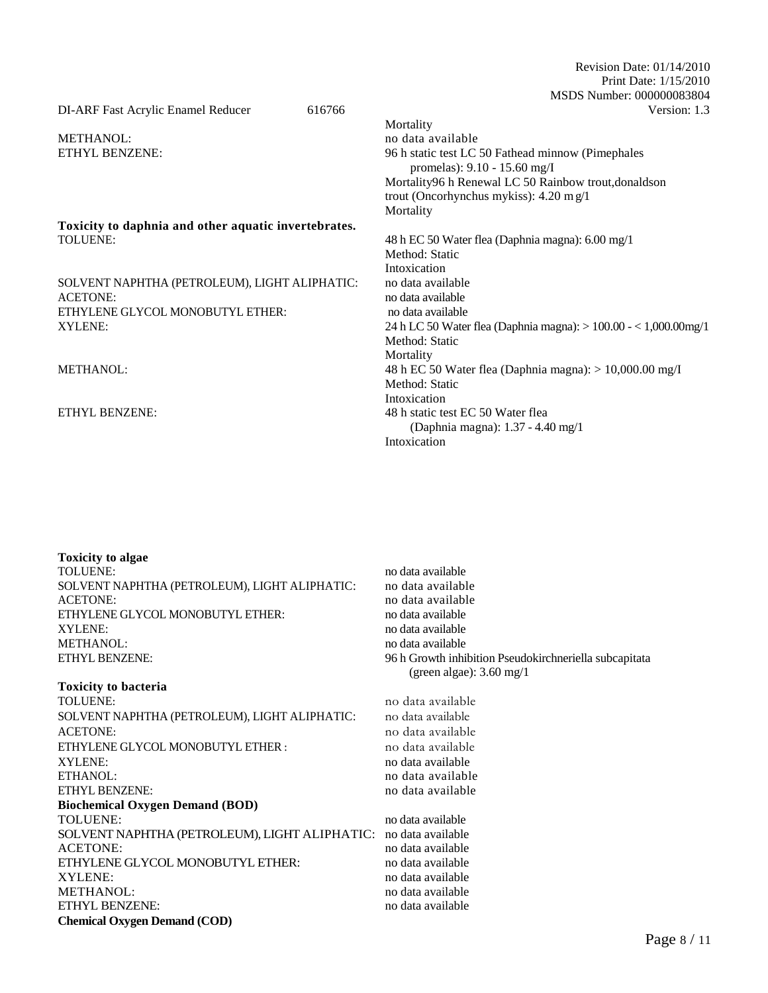Revision Date: 01/14/2010 Print Date: 1/15/2010 MSDS Number: 000000083804 DI-ARF Fast Acrylic Enamel Reducer 616766 Version: 1.3

Mortality METHANOL: no data available ETHYL BENZENE: 96 h static test LC 50 Fathead minnow (Pimephales promelas): 9.10 - 15.60 mg/I Mortality96 h Renewal LC 50 Rainbow trout,donaldson trout (Oncorhynchus mykiss): 4.20 m g/1 Mortality **Toxicity to daphnia and other aquatic invertebrates.** TOLUENE: 48 h EC 50 Water flea (Daphnia magna): 6.00 mg/1 Method: Static Intoxication<br>no data available SOLVENT NAPHTHA (PETROLEUM), LIGHT ALIPHATIC: ACETONE: no data available ETHYLENE GLYCOL MONOBUTYL ETHER: no data available XYLENE: 24 h LC 50 Water flea (Daphnia magna): > 100.00 - < 1,000.00mg/1 Method: Static Mortality METHANOL: 48 h EC 50 Water flea (Daphnia magna): > 10,000.00 mg/I Method: Static Intoxication ETHYL BENZENE: 48 h static test EC 50 Water flea (Daphnia magna): 1.37 - 4.40 mg/1 Intoxication

| <b>Toxicity to algae</b>                                        |                                                        |
|-----------------------------------------------------------------|--------------------------------------------------------|
| <b>TOLUENE:</b>                                                 | no data available                                      |
| SOLVENT NAPHTHA (PETROLEUM), LIGHT ALIPHATIC:                   | no data available                                      |
| <b>ACETONE:</b>                                                 | no data available                                      |
| ETHYLENE GLYCOL MONOBUTYL ETHER:                                | no data available                                      |
| XYLENE:                                                         | no data available                                      |
| METHANOL:                                                       | no data available                                      |
| <b>ETHYL BENZENE:</b>                                           | 96 h Growth inhibition Pseudokirchneriella subcapitata |
|                                                                 | (green algae): $3.60 \text{ mg}/1$                     |
| <b>Toxicity to bacteria</b>                                     |                                                        |
| TOLUENE:                                                        | no data available                                      |
| SOLVENT NAPHTHA (PETROLEUM), LIGHT ALIPHATIC:                   | no data available                                      |
| ACETONE:                                                        | no data available                                      |
| ETHYLENE GLYCOL MONOBUTYL ETHER:                                | no data available                                      |
| XYLENE:                                                         | no data available                                      |
| ETHANOL:                                                        | no data available                                      |
| <b>ETHYL BENZENE:</b>                                           | no data available                                      |
| <b>Biochemical Oxygen Demand (BOD)</b>                          |                                                        |
| TOLUENE:                                                        | no data available                                      |
| SOLVENT NAPHTHA (PETROLEUM), LIGHT ALIPHATIC: no data available |                                                        |
| <b>ACETONE:</b>                                                 | no data available                                      |
| ETHYLENE GLYCOL MONOBUTYL ETHER:                                | no data available                                      |
| <b>XYLENE:</b>                                                  | no data available                                      |
| <b>METHANOL:</b>                                                | no data available                                      |
| ETHYL BENZENE:                                                  | no data available                                      |
| <b>Chemical Oxygen Demand (COD)</b>                             |                                                        |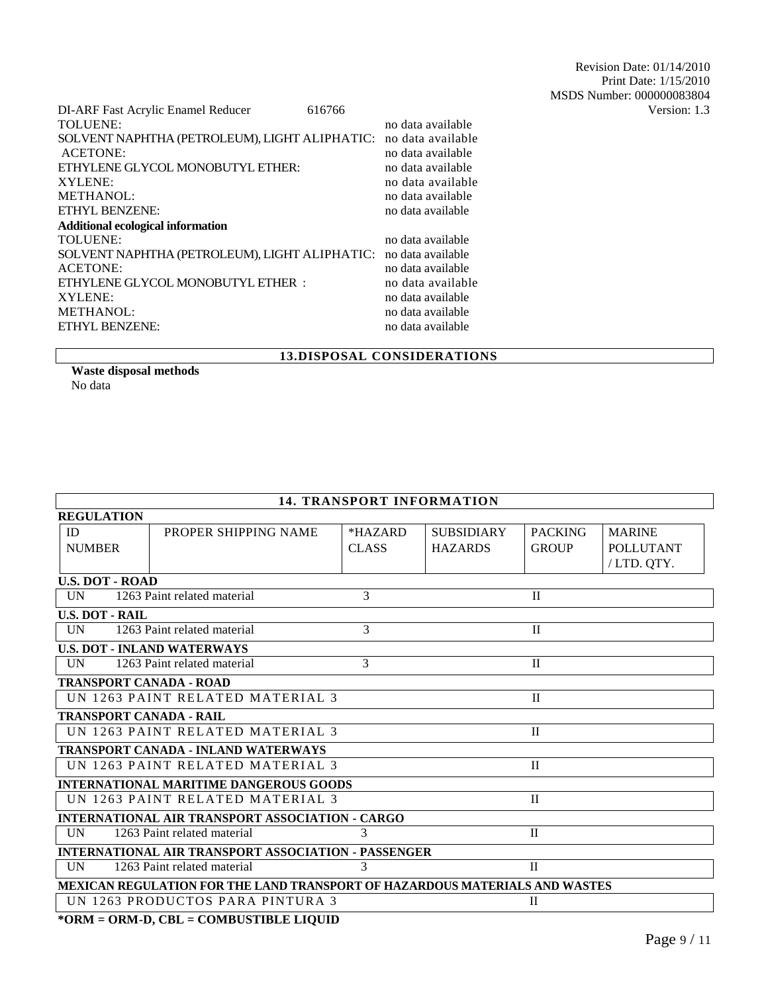| DI-ARF Fast Acrylic Enamel Reducer                              | 616766 |                   | Version: 1.3 |
|-----------------------------------------------------------------|--------|-------------------|--------------|
| <b>TOLUENE:</b>                                                 |        | no data available |              |
| SOLVENT NAPHTHA (PETROLEUM), LIGHT ALIPHATIC: no data available |        |                   |              |
| <b>ACETONE:</b>                                                 |        | no data available |              |
| ETHYLENE GLYCOL MONOBUTYL ETHER:                                |        | no data available |              |
| XYLENE:                                                         |        | no data available |              |
| METHANOL:                                                       |        | no data available |              |
| <b>ETHYL BENZENE:</b>                                           |        | no data available |              |
| <b>Additional ecological information</b>                        |        |                   |              |
| <b>TOLUENE:</b>                                                 |        | no data available |              |
| SOLVENT NAPHTHA (PETROLEUM), LIGHT ALIPHATIC: no data available |        |                   |              |
| <b>ACETONE:</b>                                                 |        | no data available |              |
| ETHYLENE GLYCOL MONOBUTYL ETHER :                               |        | no data available |              |
| <b>XYLENE:</b>                                                  |        | no data available |              |
| METHANOL:                                                       |        | no data available |              |
| ETHYL BENZENE:                                                  |        | no data available |              |
|                                                                 |        |                   |              |

## **13.DISPOSAL CONSIDERATIONS**

**Waste disposal methods**  No data

| <b>14. TRANSPORT INFORMATION</b>                                            |                                    |              |                   |                |                  |
|-----------------------------------------------------------------------------|------------------------------------|--------------|-------------------|----------------|------------------|
| <b>REGULATION</b>                                                           |                                    |              |                   |                |                  |
| ID                                                                          | PROPER SHIPPING NAME               | *HAZARD      | <b>SUBSIDIARY</b> | <b>PACKING</b> | <b>MARINE</b>    |
| <b>NUMBER</b>                                                               |                                    | <b>CLASS</b> | <b>HAZARDS</b>    | <b>GROUP</b>   | <b>POLLUTANT</b> |
|                                                                             |                                    |              |                   |                | /LTD. QTY.       |
| <b>U.S. DOT - ROAD</b>                                                      |                                    |              |                   |                |                  |
| <b>UN</b>                                                                   | 1263 Paint related material        | 3            |                   | $\mathbf{I}$   |                  |
| <b>U.S. DOT - RAIL</b>                                                      |                                    |              |                   |                |                  |
| UN                                                                          | 1263 Paint related material        | 3            |                   | $\mathbf{I}$   |                  |
|                                                                             | <b>U.S. DOT - INLAND WATERWAYS</b> |              |                   |                |                  |
| <b>IIN</b>                                                                  | 1263 Paint related material        | 3            |                   | $\mathbf{I}$   |                  |
| <b>TRANSPORT CANADA - ROAD</b>                                              |                                    |              |                   |                |                  |
|                                                                             | UN 1263 PAINT RELATED MATERIAL 3   |              |                   | $\mathbf{I}$   |                  |
|                                                                             | <b>TRANSPORT CANADA - RAIL</b>     |              |                   |                |                  |
|                                                                             | UN 1263 PAINT RELATED MATERIAL 3   |              |                   | $\rm II$       |                  |
| <b>TRANSPORT CANADA - INLAND WATERWAYS</b>                                  |                                    |              |                   |                |                  |
|                                                                             | UN 1263 PAINT RELATED MATERIAL 3   |              |                   | $\mathbf{I}$   |                  |
| <b>INTERNATIONAL MARITIME DANGEROUS GOODS</b>                               |                                    |              |                   |                |                  |
|                                                                             | UN 1263 PAINT RELATED MATERIAL 3   |              |                   | $\mathbf{I}$   |                  |
| <b>INTERNATIONAL AIR TRANSPORT ASSOCIATION - CARGO</b>                      |                                    |              |                   |                |                  |
| UN                                                                          | 1263 Paint related material        | 3            |                   | $\mathbf{I}$   |                  |
| <b>INTERNATIONAL AIR TRANSPORT ASSOCIATION - PASSENGER</b>                  |                                    |              |                   |                |                  |
| $\mathcal{R}$<br>1263 Paint related material<br>$\mathbf{I}$<br>UN          |                                    |              |                   |                |                  |
| MEXICAN REGULATION FOR THE LAND TRANSPORT OF HAZARDOUS MATERIALS AND WASTES |                                    |              |                   |                |                  |
|                                                                             | UN 1263 PRODUCTOS PARA PINTURA 3   |              |                   | $\mathbf{I}$   |                  |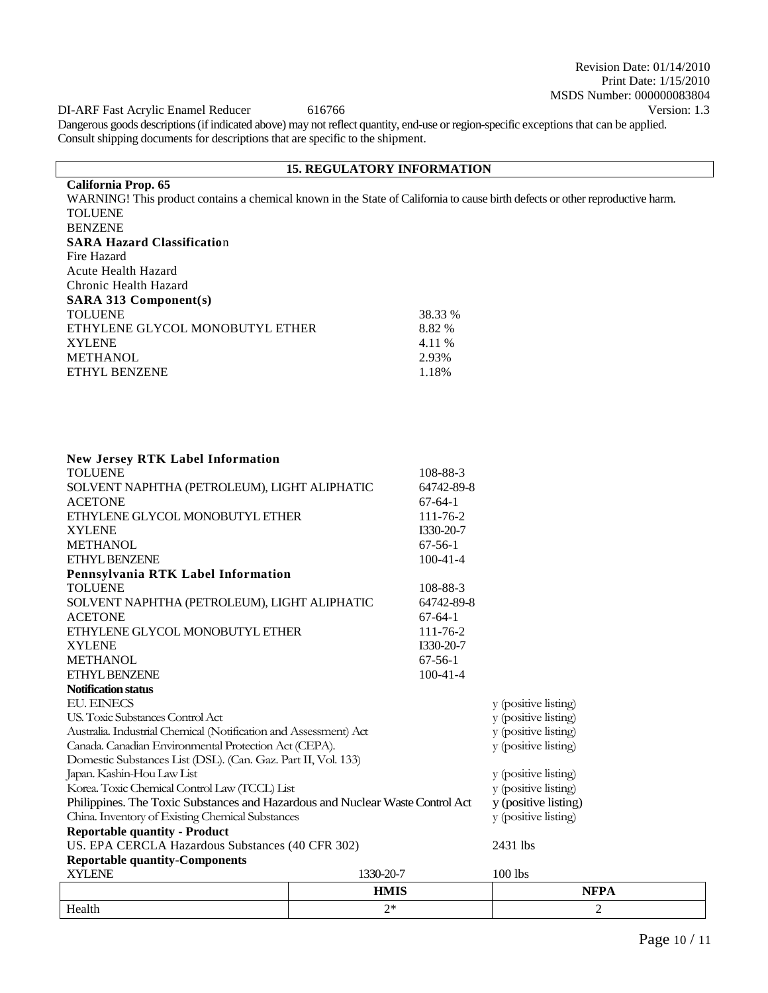Revision Date: 01/14/2010 Print Date: 1/15/2010 MSDS Number: 000000083804

DI-ARF Fast Acrylic Enamel Reducer 616766 Version: 1.3

Dangerous goods descriptions (if indicated above) may not reflect quantity, end-use or region-specific exceptions that can be applied. Consult shipping documents for descriptions that are specific to the shipment.

## **15. REGULATORY INFORMATION**

**California Prop. 65** WARNING! This product contains a chemical known in the State of California to cause birth defects or other reproductive harm. TOLUENE BENZENE **SARA Hazard Classificatio**n Fire Hazard Acute Health Hazard Chronic Health Hazard **SARA 313 Component(s)** TOLUENE 38.33 % ETHYLENE GLYCOL MONOBUTYL ETHER 8.82 % XYLENE 4.11 % METHANOL 2.93% 2.93% 2.93% 2.93% 2.93% ETHYL BENZENE

| Health                                                                        | $2*$        |                             | $\overline{2}$       |  |
|-------------------------------------------------------------------------------|-------------|-----------------------------|----------------------|--|
|                                                                               | <b>HMIS</b> |                             | <b>NFPA</b>          |  |
| <b>XYLENE</b>                                                                 | 1330-20-7   |                             | 100 lbs              |  |
| <b>Reportable quantity-Components</b>                                         |             |                             |                      |  |
| US. EPA CERCLA Hazardous Substances (40 CFR 302)                              |             | 2431 lbs                    |                      |  |
| <b>Reportable quantity - Product</b>                                          |             |                             |                      |  |
| China. Inventory of Existing Chemical Substances                              |             |                             | y (positive listing) |  |
| Philippines. The Toxic Substances and Hazardous and Nuclear Waste Control Act |             |                             | y (positive listing) |  |
| Korea. Toxic Chemical Control Law (TCCL) List                                 |             |                             | y (positive listing) |  |
| Japan. Kashin-Hou Law List                                                    |             |                             | y (positive listing) |  |
| Domestic Substances List (DSL). (Can. Gaz. Part II, Vol. 133)                 |             |                             |                      |  |
| Canada. Canadian Environmental Protection Act (CEPA).                         |             |                             | y (positive listing) |  |
| Australia. Industrial Chemical (Notification and Assessment) Act              |             |                             | y (positive listing) |  |
| US. Toxic Substances Control Act                                              |             |                             | y (positive listing) |  |
| <b>EU. EINECS</b>                                                             |             |                             | y (positive listing) |  |
| <b>Notification status</b>                                                    |             |                             |                      |  |
| <b>METHANOL</b><br><b>ETHYL BENZENE</b>                                       |             | $67 - 56 - 1$<br>$100-41-4$ |                      |  |
| <b>XYLENE</b>                                                                 |             | I330-20-7                   |                      |  |
| ETHYLENE GLYCOL MONOBUTYL ETHER                                               |             | $111 - 76 - 2$              |                      |  |
| <b>ACETONE</b>                                                                |             | $67-64-1$                   |                      |  |
| SOLVENT NAPHTHA (PETROLEUM), LIGHT ALIPHATIC                                  |             | 64742-89-8                  |                      |  |
| <b>TOLUENE</b>                                                                |             | 108-88-3                    |                      |  |
| Pennsylvania RTK Label Information                                            |             |                             |                      |  |
| ETHYL BENZENE                                                                 |             | $100-41-4$                  |                      |  |
| <b>METHANOL</b>                                                               |             | $67-56-1$                   |                      |  |
| <b>XYLENE</b>                                                                 |             | I330-20-7                   |                      |  |
| ETHYLENE GLYCOL MONOBUTYL ETHER                                               |             | $111 - 76 - 2$              |                      |  |
| <b>ACETONE</b>                                                                |             | $67-64-1$                   |                      |  |
| SOLVENT NAPHTHA (PETROLEUM), LIGHT ALIPHATIC                                  |             | 64742-89-8                  |                      |  |
| <b>TOLUENE</b>                                                                |             | 108-88-3                    |                      |  |
| <b>New Jersey RTK Label Information</b>                                       |             |                             |                      |  |